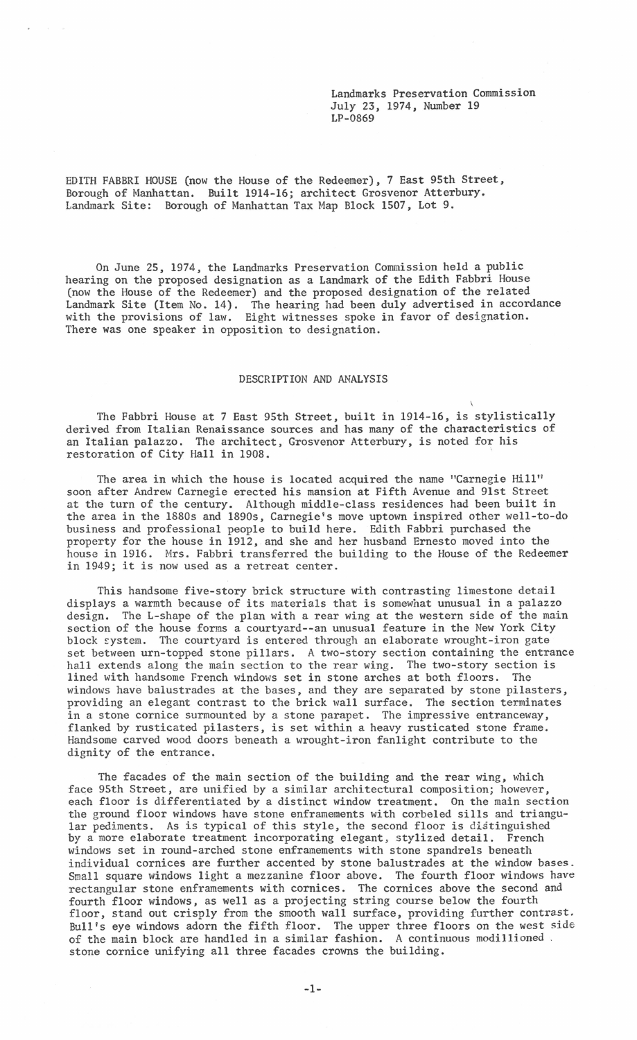Landmarks Preservation Commission July 23, 1974, Number 19 LP-0869

 $\overline{\phantom{a}^{\prime}}$ 

EDITH FABBRI HOUSE (now the House of the Redeemer), 7 East 95th Street, Borough of Manhattan. Built 1914-16; architect Grosvenor Atterbury. Landmark Site: Borough of Manhattan Tax Map Block 1507, Lot 9.

On June 25, 1974, the Landmarks Preservation Commission held a public hearing on the proposed designation as a Landmark of the Edith Fabbri House (now the House of the Redeemer) and the proposed designation of the related Landmark Site (Item No. 14). The hearing had been duly advertised in accordance with the provisions of law. Eight witnesses spoke in favor of designation. There was one speaker in opposition to designation.

## DESCRIPTION AND ANALYSIS

The Fabbri House at 7 East 95th Street, built in 1914-16, is stylistically derived from Italian Renaissance sources and has many of the characteristics of an Italian palazzo. The architect, Grosvenor Atterbury, is noted for his restoration of City Hall in 1908.

The area in which the house is located acquired the name "Carnegie Hill" soon after Andrew Carnegie erected his mansion at Fifth Avenue and 9lst Street at the turn of the century. Although middle-class residences had been built in the area in the 1880s and 1890s, Carnegie's move uptown inspired other well-to-do business and professional people to build here. Edith Fabbri purchased the property for the house in 1912, and she and her husband Ernesto moved into the house in 1916. Mrs. Fabbri transferred the building to the House of the Redeemer in 1949; it is now used as a retreat center.

This handsome five-story brick structure with contrasting limestone detail displays a warmth because of its materials that is somewhat unusual in a palazzo design. The L-shape of the plan with a rear wing at the western side of the main section of the house forms a courtyard-~an unusual feature in the New York City block system. The courtyard is entered through an elaborate wrought-iron gate set between urn-topped stone pillars. A two-story section containing the entrance hall extends along the main section to the rear wing. The two-story section is lined with handsome French windows set in stone arches at both floors. The windows have balustrades at the bases, and they are separated by stone pilasters, providing an elegant contrast to the brick wall surface. The section terminates in a stone cornice surmounted by a stone parapet. The impressive entranceway, flanked by rusticated pilasters, is set within a heavy rusticated stone frame. Handsome carved wood doors beneath a wrought-iron fanlight contribute to the dignity of the entrance.

The facades of the main section of the building and the rear wing, which face 95th Street, are unified by a similar architectural composition; however, each floor is differentiated by a distinct window treatment. On the main section the ground floor windows have stone enframements with corbeled sills and triangular pediments. As is typical of this style, the second floor is distinguished by a more elaborate treatment incorporating elegant, stylized detail. French windows set in round-arched stone enframements with stone spandrels beneath individual cornices are further accented by stone balustrades at the window bases. Small square windows light a mezzanine floor above. The fourth floor windows have rectangular stone enframements with cornices. The cornices above the second and fourth floor windows, as well as a projecting string course below the fourth floor, stand out crisply from the smooth wall surface, providing further contrast. Bull's eye windows adorn the fifth floor. The upper three floors on the west side of the main block are handled in a similar fashion. A continuous modillioned . stone cornice unifying all three facades crowns the building.